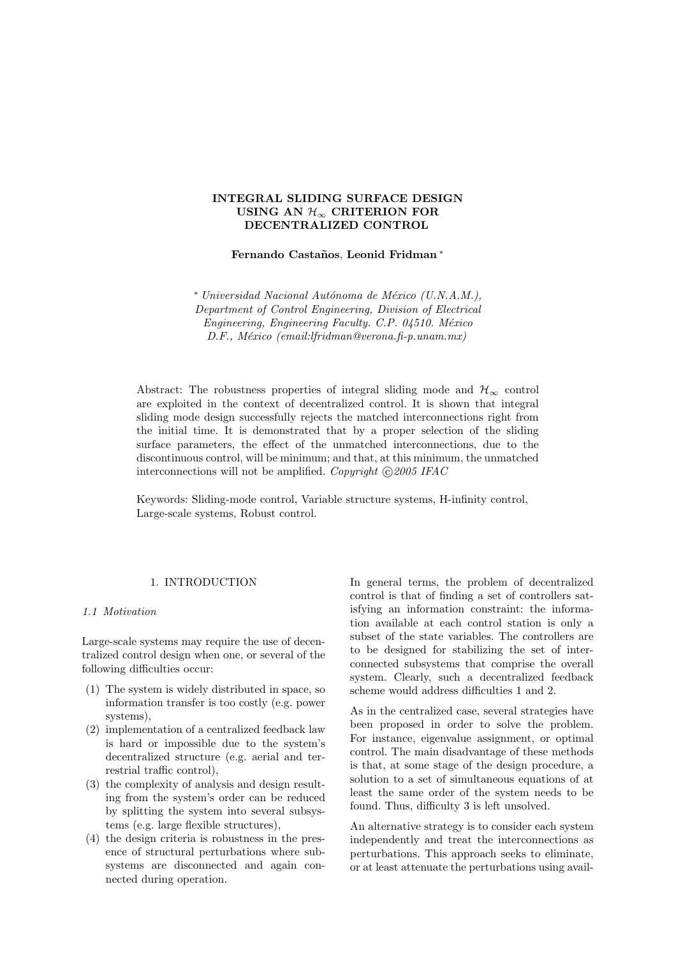# INTEGRAL SLIDING SURFACE DESIGN USING AN  $\mathcal{H}_{\infty}$  CRITERION FOR DECENTRALIZED CONTROL

Fernando Castaños, Leonid Fridman\*

<sup>∗</sup> Universidad Nacional Aut´onoma de M´exico (U.N.A.M.), Department of Control Engineering, Division of Electrical Engineering, Engineering Faculty. C.P. 04510. México D.F., México (email:lfridman@verona.fi-p.unam.mx)

Abstract: The robustness properties of integral sliding mode and  $\mathcal{H}_{\infty}$  control are exploited in the context of decentralized control. It is shown that integral sliding mode design successfully rejects the matched interconnections right from the initial time. It is demonstrated that by a proper selection of the sliding surface parameters, the effect of the unmatched interconnections, due to the discontinuous control, will be minimum; and that, at this minimum, the unmatched interconnections will not be amplified. Copyright  $\odot$  2005 IFAC

Keywords: Sliding-mode control, Variable structure systems, H-infinity control, Large-scale systems, Robust control.

## 1. INTRODUCTION

### 1.1 Motivation

Large-scale systems may require the use of decentralized control design when one, or several of the following difficulties occur:

- (1) The system is widely distributed in space, so information transfer is too costly (e.g. power systems),
- (2) implementation of a centralized feedback law is hard or impossible due to the system's decentralized structure (e.g. aerial and terrestrial traffic control),
- (3) the complexity of analysis and design resulting from the system's order can be reduced by splitting the system into several subsystems (e.g. large flexible structures),
- (4) the design criteria is robustness in the presence of structural perturbations where subsystems are disconnected and again connected during operation.

In general terms, the problem of decentralized control is that of finding a set of controllers satisfying an information constraint: the information available at each control station is only a subset of the state variables. The controllers are to be designed for stabilizing the set of interconnected subsystems that comprise the overall system. Clearly, such a decentralized feedback scheme would address difficulties 1 and 2.

As in the centralized case, several strategies have been proposed in order to solve the problem. For instance, eigenvalue assignment, or optimal control. The main disadvantage of these methods is that, at some stage of the design procedure, a solution to a set of simultaneous equations of at least the same order of the system needs to be found. Thus, difficulty 3 is left unsolved.

An alternative strategy is to consider each system independently and treat the interconnections as perturbations. This approach seeks to eliminate, or at least attenuate the perturbations using avail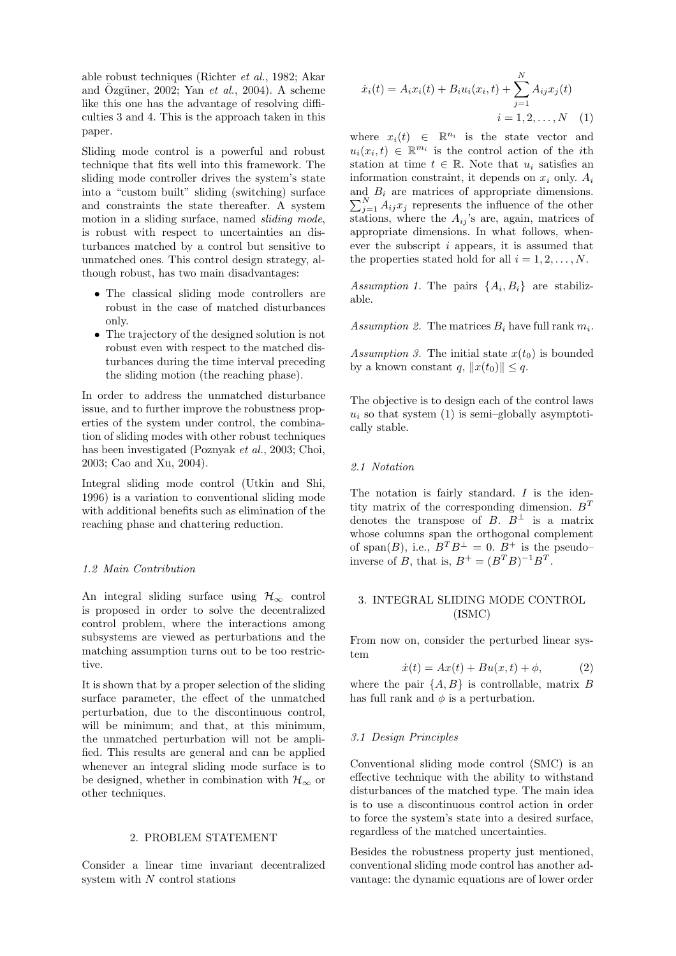able robust techniques (Richter et al., 1982; Akar and Özgüner, 2002; Yan et al., 2004). A scheme like this one has the advantage of resolving difficulties 3 and 4. This is the approach taken in this paper.

Sliding mode control is a powerful and robust technique that fits well into this framework. The sliding mode controller drives the system's state into a "custom built" sliding (switching) surface and constraints the state thereafter. A system motion in a sliding surface, named sliding mode, is robust with respect to uncertainties an disturbances matched by a control but sensitive to unmatched ones. This control design strategy, although robust, has two main disadvantages:

- The classical sliding mode controllers are robust in the case of matched disturbances only.
- The trajectory of the designed solution is not robust even with respect to the matched disturbances during the time interval preceding the sliding motion (the reaching phase).

In order to address the unmatched disturbance issue, and to further improve the robustness properties of the system under control, the combination of sliding modes with other robust techniques has been investigated (Poznyak et al., 2003; Choi, 2003; Cao and Xu, 2004).

Integral sliding mode control (Utkin and Shi, 1996) is a variation to conventional sliding mode with additional benefits such as elimination of the reaching phase and chattering reduction.

## 1.2 Main Contribution

An integral sliding surface using  $\mathcal{H}_{\infty}$  control is proposed in order to solve the decentralized control problem, where the interactions among subsystems are viewed as perturbations and the matching assumption turns out to be too restrictive.

It is shown that by a proper selection of the sliding surface parameter, the effect of the unmatched perturbation, due to the discontinuous control, will be minimum; and that, at this minimum, the unmatched perturbation will not be amplified. This results are general and can be applied whenever an integral sliding mode surface is to be designed, whether in combination with  $\mathcal{H}_{\infty}$  or other techniques.

## 2. PROBLEM STATEMENT

Consider a linear time invariant decentralized system with N control stations

$$
\dot{x}_i(t) = A_i x_i(t) + B_i u_i(x_i, t) + \sum_{j=1}^{N} A_{ij} x_j(t)
$$

$$
i = 1, 2, ..., N \quad (1)
$$

where  $x_i(t) \in \mathbb{R}^{n_i}$  is the state vector and  $u_i(x_i,t) \in \mathbb{R}^{m_i}$  is the control action of the *i*th station at time  $t \in \mathbb{R}$ . Note that  $u_i$  satisfies an information constraint, it depends on  $x_i$  only.  $A_i$  $\sum_{j=1}^{N} A_{ij} x_j$  represents the influence of the other and  $B_i$  are matrices of appropriate dimensions. stations, where the  $A_{ij}$ 's are, again, matrices of appropriate dimensions. In what follows, whenever the subscript i appears, it is assumed that the properties stated hold for all  $i = 1, 2, \ldots, N$ .

Assumption 1. The pairs  $\{A_i, B_i\}$  are stabilizable.

Assumption 2. The matrices  $B_i$  have full rank  $m_i$ .

Assumption 3. The initial state  $x(t_0)$  is bounded by a known constant q,  $||x(t_0)|| \leq q$ .

The objective is to design each of the control laws  $u_i$  so that system (1) is semi-globally asymptotically stable.

#### 2.1 Notation

The notation is fairly standard. I is the identity matrix of the corresponding dimension.  $B<sup>T</sup>$ denotes the transpose of B.  $B^{\perp}$  is a matrix whose columns span the orthogonal complement of span(B), i.e.,  $B^T B^{\perp} = 0$ .  $B^+$  is the pseudo– inverse of B, that is,  $B^+ = (B^T B)^{-1} B^T$ .

# 3. INTEGRAL SLIDING MODE CONTROL (ISMC)

From now on, consider the perturbed linear system

$$
\dot{x}(t) = Ax(t) + Bu(x, t) + \phi,\tag{2}
$$

where the pair  $\{A, B\}$  is controllable, matrix B has full rank and  $\phi$  is a perturbation.

### 3.1 Design Principles

Conventional sliding mode control (SMC) is an effective technique with the ability to withstand disturbances of the matched type. The main idea is to use a discontinuous control action in order to force the system's state into a desired surface, regardless of the matched uncertainties.

Besides the robustness property just mentioned, conventional sliding mode control has another advantage: the dynamic equations are of lower order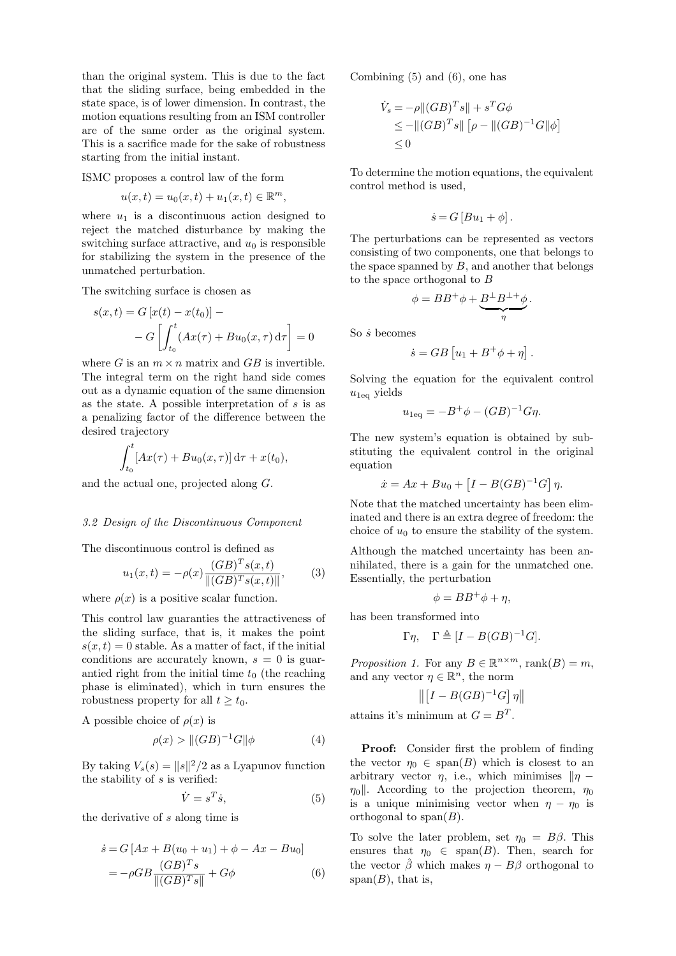than the original system. This is due to the fact that the sliding surface, being embedded in the state space, is of lower dimension. In contrast, the motion equations resulting from an ISM controller are of the same order as the original system. This is a sacrifice made for the sake of robustness starting from the initial instant.

ISMC proposes a control law of the form

$$
u(x,t) = u_0(x,t) + u_1(x,t) \in \mathbb{R}^m,
$$

where  $u_1$  is a discontinuous action designed to reject the matched disturbance by making the switching surface attractive, and  $u_0$  is responsible for stabilizing the system in the presence of the unmatched perturbation.

The switching surface is chosen as

$$
s(x,t) = G[x(t) - x(t_0)] -
$$

$$
- G\left[\int_{t_0}^t (Ax(\tau) + Bu_0(x, \tau) d\tau\right] = 0
$$

where G is an  $m \times n$  matrix and GB is invertible. The integral term on the right hand side comes out as a dynamic equation of the same dimension as the state. A possible interpretation of  $s$  is as a penalizing factor of the difference between the desired trajectory

$$
\int_{t_0}^t [Ax(\tau) + Bu_0(x,\tau)]\,\mathrm{d}\tau + x(t_0),
$$

and the actual one, projected along G.

## 3.2 Design of the Discontinuous Component

The discontinuous control is defined as

$$
u_1(x,t) = -\rho(x) \frac{(GB)^T s(x,t)}{\|(GB)^T s(x,t)\|},
$$
 (3)

where  $\rho(x)$  is a positive scalar function.

This control law guaranties the attractiveness of the sliding surface, that is, it makes the point  $s(x,t) = 0$  stable. As a matter of fact, if the initial conditions are accurately known,  $s = 0$  is guarantied right from the initial time  $t_0$  (the reaching phase is eliminated), which in turn ensures the robustness property for all  $t \geq t_0$ .

A possible choice of  $\rho(x)$  is

$$
\rho(x) > ||(GB)^{-1}G||\phi \tag{4}
$$

By taking  $V_s(s) = ||s||^2/2$  as a Lyapunov function the stability of s is verified:

$$
\dot{V} = s^T \dot{s},\tag{5}
$$

the derivative of s along time is

$$
\dot{s} = G \left[ Ax + B(u_0 + u_1) + \phi - Ax - Bu_0 \right]
$$
  
=  $-\rho GB \frac{(GB)^T s}{\|(GB)^T s\|} + G\phi$  (6)

Combining (5) and (6), one has

$$
\dot{V}_s = -\rho ||(GB)^T s|| + s^T G \phi
$$
  
\n
$$
\le - ||(GB)^T s|| \left[\rho - ||(GB)^{-1} G|| \phi\right]
$$
  
\n
$$
\le 0
$$

To determine the motion equations, the equivalent control method is used,

$$
\dot{s} = G \left[ B u_1 + \phi \right].
$$

The perturbations can be represented as vectors consisting of two components, one that belongs to the space spanned by  $B$ , and another that belongs to the space orthogonal to B

$$
\phi = BB^+ \phi + \underbrace{B^\perp B^{\perp +}}_{\eta} \phi.
$$

So  $\dot{s}$  becomes

$$
\dot{s} = GB\left[u_1 + B^+\phi + \eta\right].
$$

Solving the equation for the equivalent control  $u_{1\text{eq}}$  yields

$$
u_{1\text{eq}} = -B^+\phi - (GB)^{-1}G\eta.
$$

The new system's equation is obtained by substituting the equivalent control in the original equation

$$
\dot{x} = Ax + Bu_0 + \left[I - B(GB)^{-1}G\right]\eta.
$$

Note that the matched uncertainty has been eliminated and there is an extra degree of freedom: the choice of  $u_0$  to ensure the stability of the system.

Although the matched uncertainty has been annihilated, there is a gain for the unmatched one. Essentially, the perturbation

$$
\phi = BB^{+}\phi + \eta,
$$

has been transformed into

$$
\Gamma \eta, \quad \Gamma \triangleq [I - B(GB)^{-1}G].
$$

Proposition 1. For any  $B \in \mathbb{R}^{n \times m}$ , rank $(B) = m$ , and any vector  $\eta \in \mathbb{R}^n$ , the norm

$$
\left\| \left[I - B(GB)^{-1}G\right]\eta \right\|
$$

attains it's minimum at  $G = B<sup>T</sup>$ .

Proof: Consider first the problem of finding the vector  $\eta_0 \in \text{span}(B)$  which is closest to an arbitrary vector  $\eta$ , i.e., which minimises  $\|\eta \eta_0$ . According to the projection theorem,  $\eta_0$ is a unique minimising vector when  $\eta - \eta_0$  is orthogonal to span $(B)$ .

To solve the later problem, set  $\eta_0 = B\beta$ . This ensures that  $\eta_0 \in \text{span}(B)$ . Then, search for the vector  $\hat{\beta}$  which makes  $\eta - B\beta$  orthogonal to span $(B)$ , that is,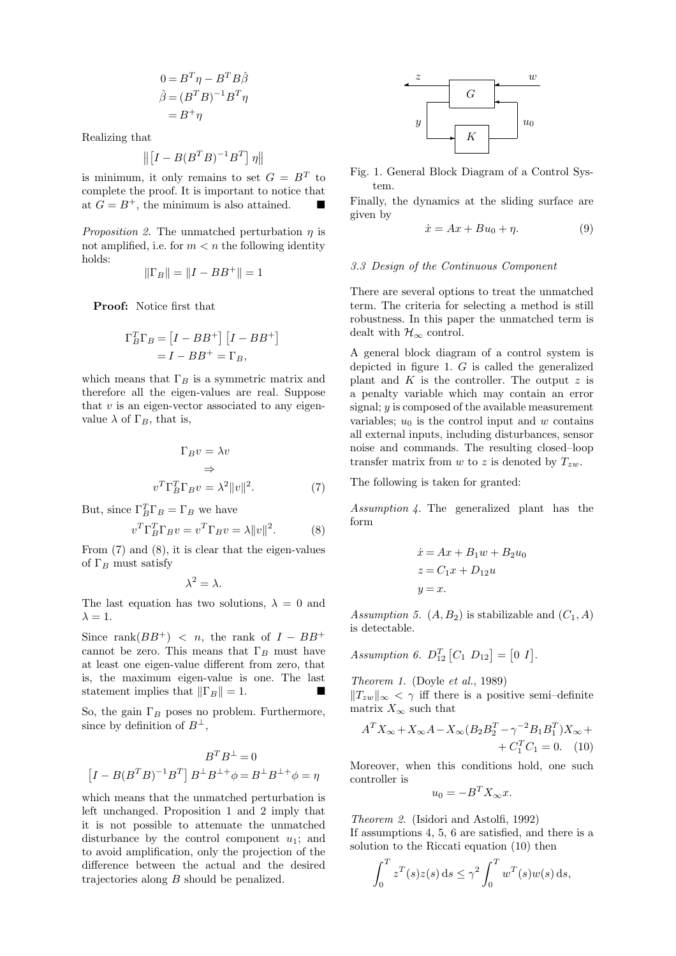$$
0 = BT \eta - BT B\hat{\beta}
$$
  

$$
\hat{\beta} = (BT B)^{-1} BT \eta
$$
  

$$
= B+ \eta
$$

Realizing that

$$
\left\| \left[ I-B(B^TB)^{-1}B^T \right] \eta \right\|
$$

is minimum, it only remains to set  $G = B<sup>T</sup>$  to complete the proof. It is important to notice that at  $G = B^+$ , the minimum is also attained.

*Proposition 2.* The unmatched perturbation  $\eta$  is not amplified, i.e. for  $m < n$  the following identity holds:

$$
\|\Gamma_B\|=\|I-BB^+\|=1
$$

Proof: Notice first that

$$
\Gamma_B^T \Gamma_B = [I - BB^+] [I - BB^+]
$$
  
=  $I - BB^+ = \Gamma_B$ ,

which means that  $\Gamma_B$  is a symmetric matrix and therefore all the eigen-values are real. Suppose that  $v$  is an eigen-vector associated to any eigenvalue  $\lambda$  of  $\Gamma_B$ , that is,

$$
\Gamma_B v = \lambda v
$$
  
\n
$$
\Rightarrow
$$
  
\n
$$
v^T \Gamma_B^T \Gamma_B v = \lambda^2 ||v||^2.
$$
 (7)

But, since  $\Gamma_B^T \Gamma_B = \Gamma_B$  we have

$$
v^T \Gamma_B^T \Gamma_B v = v^T \Gamma_B v = \lambda ||v||^2.
$$
 (8)

From (7) and (8), it is clear that the eigen-values of  $\Gamma_B$  must satisfy

$$
\lambda^2=\lambda.
$$

The last equation has two solutions,  $\lambda = 0$  and  $\lambda = 1$ .

Since rank $(BB^+)$  < n, the rank of  $I - BB^+$ cannot be zero. This means that  $\Gamma_B$  must have at least one eigen-value different from zero, that is, the maximum eigen-value is one. The last statement implies that  $\|\Gamma_B\| = 1$ .

So, the gain  $\Gamma_B$  poses no problem. Furthermore, since by definition of  $B^{\perp}$ ,

$$
BTB\perp = 0
$$
  

$$
[I - B(BTB)-1BT]B\perpB\perp+\phi = B\perpB\perp+\phi = \eta
$$

which means that the unmatched perturbation is left unchanged. Proposition 1 and 2 imply that it is not possible to attenuate the unmatched disturbance by the control component  $u_1$ ; and to avoid amplification, only the projection of the difference between the actual and the desired trajectories along B should be penalized.



Fig. 1. General Block Diagram of a Control System.

Finally, the dynamics at the sliding surface are given by

$$
\dot{x} = Ax + Bu_0 + \eta. \tag{9}
$$

#### 3.3 Design of the Continuous Component

There are several options to treat the unmatched term. The criteria for selecting a method is still robustness. In this paper the unmatched term is dealt with  $\mathcal{H}_{\infty}$  control.

A general block diagram of a control system is depicted in figure 1.  $G$  is called the generalized plant and  $K$  is the controller. The output  $z$  is a penalty variable which may contain an error signal;  $y$  is composed of the available measurement variables;  $u_0$  is the control input and w contains all external inputs, including disturbances, sensor noise and commands. The resulting closed–loop transfer matrix from  $w$  to  $z$  is denoted by  $T_{zw}$ .

The following is taken for granted:

Assumption 4. The generalized plant has the form

$$
\begin{aligned}\n\dot{x} &= Ax + B_1 w + B_2 u_0 \\
z &= C_1 x + D_{12} u \\
y &= x.\n\end{aligned}
$$

Assumption 5.  $(A, B_2)$  is stabilizable and  $(C_1, A)$ is detectable.

Assumption 6.  $D_{12}^T[C_1 \ D_{12}] = [0 \ I].$ 

Theorem 1. (Doyle et al., 1989)

 $||T_{zw}||_{\infty}$  <  $\gamma$  iff there is a positive semi–definite matrix  $X_{\infty}$  such that

$$
A^T X_{\infty} + X_{\infty} A - X_{\infty} (B_2 B_2^T - \gamma^{-2} B_1 B_1^T) X_{\infty} +
$$
  
+  $C_1^T C_1 = 0.$  (10)

Moreover, when this conditions hold, one such controller is

$$
u_0 = -B^T X_\infty x.
$$

Theorem 2. (Isidori and Astolfi, 1992) If assumptions 4, 5, 6 are satisfied, and there is a solution to the Riccati equation (10) then

$$
\int_0^T z^T(s)z(s) ds \le \gamma^2 \int_0^T w^T(s)w(s) ds,
$$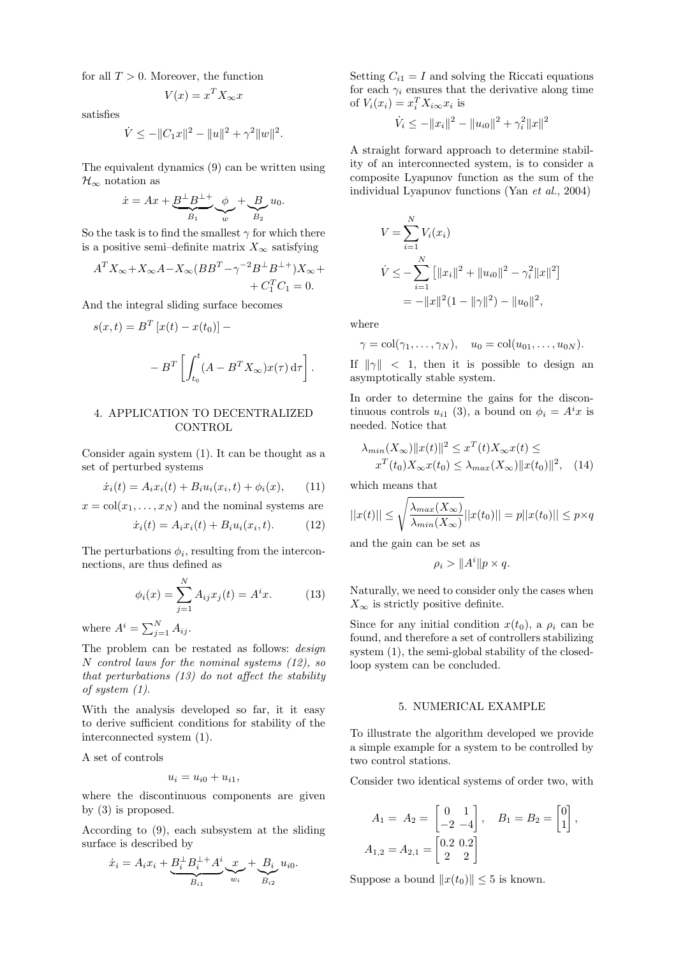for all  $T > 0$ . Moreover, the function

$$
V(x) = x^T X_\infty x
$$

satisfies

$$
\dot{V} \le -||C_1x||^2 - ||u||^2 + \gamma^2 ||w||^2.
$$

The equivalent dynamics (9) can be written using  $\mathcal{H}_{\infty}$  notation as

$$
\dot{x} = Ax + \underbrace{B^{\perp}B^{\perp}}_{B_1} \underbrace{\phi}_{w} + \underbrace{B}_{B_2} u_0.
$$

So the task is to find the smallest  $\gamma$  for which there is a positive semi–definite matrix  $X_{\infty}$  satisfying

$$
A^T X_{\infty} + X_{\infty} A - X_{\infty} (BB^T - \gamma^{-2} B^{\perp} B^{\perp +}) X_{\infty} +
$$
  
+  $C_1^T C_1 = 0.$ 

And the integral sliding surface becomes

$$
s(x,t) = BT [x(t) - x(t0)] -
$$

$$
- BT \left[ \int_{t_0}^t (A - BT X\infty) x(\tau) d\tau \right]
$$

### 4. APPLICATION TO DECENTRALIZED **CONTROL**

Consider again system (1). It can be thought as a set of perturbed systems

$$
\dot{x}_i(t) = A_i x_i(t) + B_i u_i(x_i, t) + \phi_i(x), \qquad (11)
$$

 $x = col(x_1, \ldots, x_N)$  and the nominal systems are

$$
\dot{x}_i(t) = A_i x_i(t) + B_i u_i(x_i, t). \tag{12}
$$

The perturbations  $\phi_i$ , resulting from the interconnections, are thus defined as

$$
\phi_i(x) = \sum_{j=1}^{N} A_{ij} x_j(t) = A^i x.
$$
 (13)

where  $A^i = \sum_{j=1}^N A_{ij}$ .

The problem can be restated as follows: design N control laws for the nominal systems (12), so that perturbations (13) do not affect the stability of system (1).

With the analysis developed so far, it it easy to derive sufficient conditions for stability of the interconnected system (1).

A set of controls

$$
u_i = u_{i0} + u_{i1},
$$

where the discontinuous components are given by (3) is proposed.

According to (9), each subsystem at the sliding surface is described by

$$
\dot{x}_i = A_i x_i + \underbrace{B_i^{\perp} B_i^{\perp +} A^i}_{B_{i1}} \underbrace{x}_{w_i} + \underbrace{B_i}_{B_{i2}} u_{i0}.
$$

Setting  $C_{i1} = I$  and solving the Riccati equations for each  $\gamma_i$  ensures that the derivative along time of  $V_i(x_i) = x_i^T X_{i\infty} x_i$  is

$$
\dot{V}_i \leq -\|x_i\|^2 - \|u_{i0}\|^2 + \gamma_i^2 \|x\|^2
$$

A straight forward approach to determine stability of an interconnected system, is to consider a composite Lyapunov function as the sum of the individual Lyapunov functions (Yan et al., 2004)

$$
V = \sum_{i=1}^{N} V_i(x_i)
$$
  
\n
$$
\dot{V} \le -\sum_{i=1}^{N} \left[ ||x_i||^2 + ||u_{i0}||^2 - \gamma_i^2 ||x||^2 \right]
$$
  
\n
$$
= -||x||^2 (1 - ||\gamma||^2) - ||u_0||^2,
$$

where

.

$$
\gamma = \mathrm{col}(\gamma_1,\ldots,\gamma_N), \quad u_0 = \mathrm{col}(u_{01},\ldots,u_{0N}).
$$

If  $\|\gamma\|$  < 1, then it is possible to design an asymptotically stable system.

In order to determine the gains for the discontinuous controls  $u_{i1}$  (3), a bound on  $\phi_i = A^i x$  is needed. Notice that

$$
\lambda_{min}(X_{\infty})||x(t)||^{2} \leq x^{T}(t)X_{\infty}x(t) \leq
$$
  

$$
x^{T}(t_{0})X_{\infty}x(t_{0}) \leq \lambda_{max}(X_{\infty})||x(t_{0})||^{2}, \quad (14)
$$

which means that

$$
||x(t)|| \le \sqrt{\frac{\lambda_{max}(X_{\infty})}{\lambda_{min}(X_{\infty})}} ||x(t_0)|| = p||x(t_0)|| \le p \times q
$$

and the gain can be set as

$$
\rho_i > ||A^i|| p \times q.
$$

Naturally, we need to consider only the cases when  $X_{\infty}$  is strictly positive definite.

Since for any initial condition  $x(t_0)$ , a  $\rho_i$  can be found, and therefore a set of controllers stabilizing system (1), the semi-global stability of the closedloop system can be concluded.

#### 5. NUMERICAL EXAMPLE

To illustrate the algorithm developed we provide a simple example for a system to be controlled by two control stations.

Consider two identical systems of order two, with

$$
A_1 = A_2 = \begin{bmatrix} 0 & 1 \\ -2 & -4 \end{bmatrix}, \quad B_1 = B_2 = \begin{bmatrix} 0 \\ 1 \end{bmatrix},
$$
  

$$
A_{1,2} = A_{2,1} = \begin{bmatrix} 0.2 & 0.2 \\ 2 & 2 \end{bmatrix}
$$

Suppose a bound  $||x(t_0)|| \leq 5$  is known.